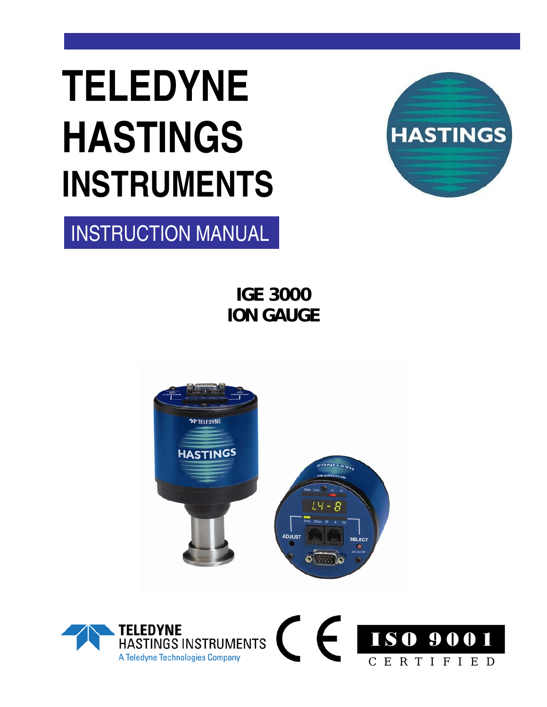# **TELEDYNE HASTINGS INSTRUMENTS**



INSTRUCTION MANUAL

**IGE 3000 ION GAUGE** 



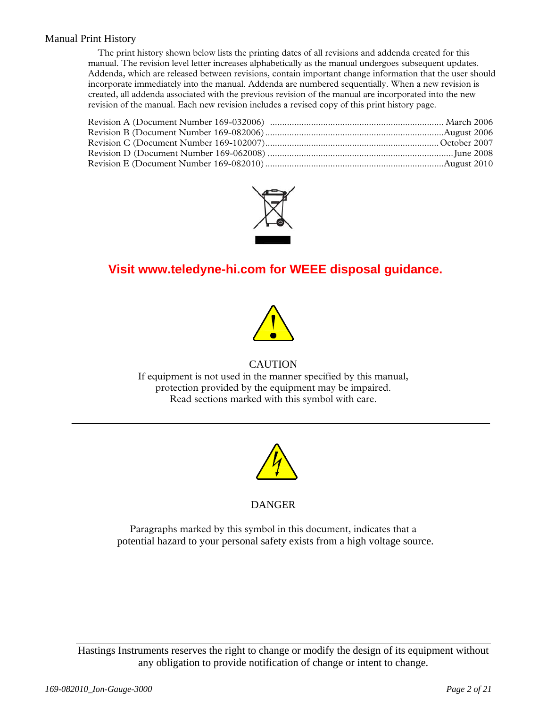#### Manual Print History

The print history shown below lists the printing dates of all revisions and addenda created for this manual. The revision level letter increases alphabetically as the manual undergoes subsequent updates. Addenda, which are released between revisions, contain important change information that the user should incorporate immediately into the manual. Addenda are numbered sequentially. When a new revision is created, all addenda associated with the previous revision of the manual are incorporated into the new revision of the manual. Each new revision includes a revised copy of this print history page.



### **Visit www.teledyne-hi.com for WEEE disposal guidance.**



#### **CAUTION**

If equipment is not used in the manner specified by this manual, protection provided by the equipment may be impaired. Read sections marked with this symbol with care.



#### DANGER

Paragraphs marked by this symbol in this document, indicates that a potential hazard to your personal safety exists from a high voltage source.

Hastings Instruments reserves the right to change or modify the design of its equipment without any obligation to provide notification of change or intent to change.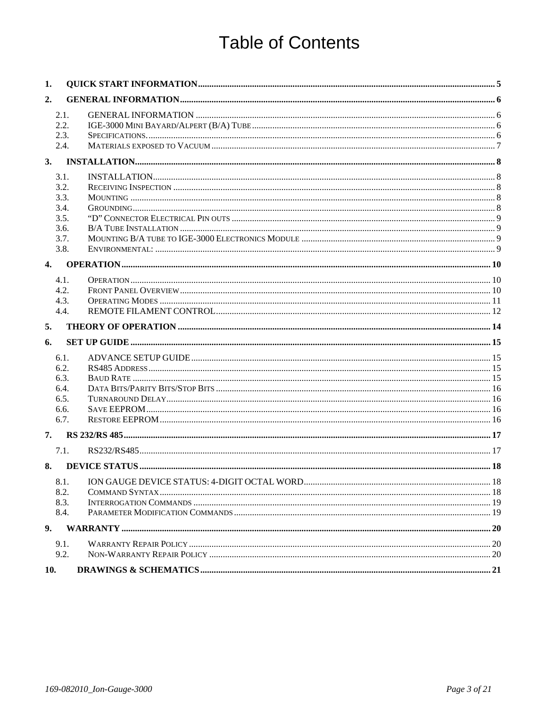### **Table of Contents**

| 1.               |                              |  |
|------------------|------------------------------|--|
| 2.               |                              |  |
|                  | 2.1.<br>2.2.<br>2.3.<br>2.4. |  |
| 3.               |                              |  |
|                  | 3.1.                         |  |
|                  | 3.2.                         |  |
|                  | 3.3.                         |  |
|                  | 3.4.                         |  |
|                  | 3.5.                         |  |
|                  | 3.6.<br>3.7.                 |  |
|                  | 3.8.                         |  |
| $\overline{4}$ . |                              |  |
|                  | 4.1.                         |  |
|                  | 4.2.                         |  |
|                  | 4.3.                         |  |
|                  | 4.4.                         |  |
| 5.               |                              |  |
| 6.               |                              |  |
|                  | 6.1.                         |  |
|                  | 6.2.                         |  |
|                  | 6.3.                         |  |
|                  | 6.4.<br>6.5.                 |  |
|                  | 6.6.                         |  |
|                  | 6.7.                         |  |
| 7.               |                              |  |
|                  | 7.1.                         |  |
| 8.               |                              |  |
|                  | 8.1.                         |  |
|                  | 8.2.                         |  |
|                  | 8.3.                         |  |
|                  | 8.4.                         |  |
| 9.               |                              |  |
|                  | 9.1.                         |  |
|                  | 9.2.                         |  |
| 10.              |                              |  |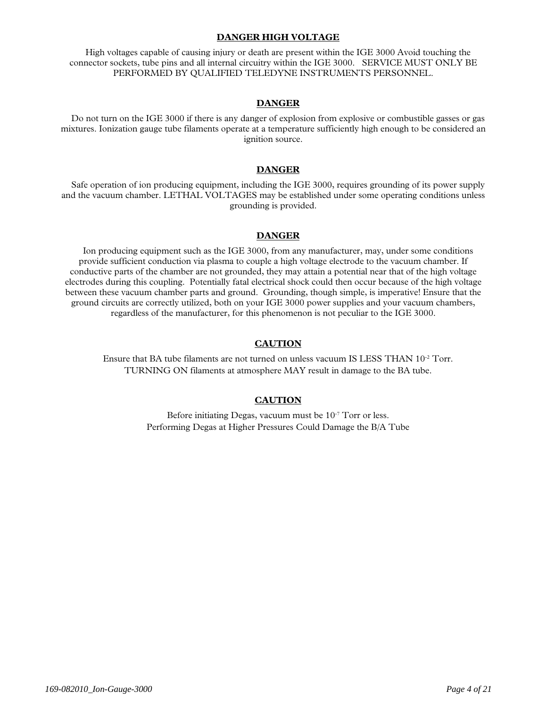#### **DANGER HIGH VOLTAGE**

High voltages capable of causing injury or death are present within the IGE 3000 Avoid touching the connector sockets, tube pins and all internal circuitry within the IGE 3000. SERVICE MUST ONLY BE PERFORMED BY QUALIFIED TELEDYNE INSTRUMENTS PERSONNEL.

#### **DANGER**

Do not turn on the IGE 3000 if there is any danger of explosion from explosive or combustible gasses or gas mixtures. Ionization gauge tube filaments operate at a temperature sufficiently high enough to be considered an ignition source.

#### **DANGER**

Safe operation of ion producing equipment, including the IGE 3000, requires grounding of its power supply and the vacuum chamber. LETHAL VOLTAGES may be established under some operating conditions unless grounding is provided.

#### **DANGER**

Ion producing equipment such as the IGE 3000, from any manufacturer, may, under some conditions provide sufficient conduction via plasma to couple a high voltage electrode to the vacuum chamber. If conductive parts of the chamber are not grounded, they may attain a potential near that of the high voltage electrodes during this coupling. Potentially fatal electrical shock could then occur because of the high voltage between these vacuum chamber parts and ground. Grounding, though simple, is imperative! Ensure that the ground circuits are correctly utilized, both on your IGE 3000 power supplies and your vacuum chambers, regardless of the manufacturer, for this phenomenon is not peculiar to the IGE 3000.

#### **CAUTION**

Ensure that BA tube filaments are not turned on unless vacuum IS LESS THAN 10-2 Torr. TURNING ON filaments at atmosphere MAY result in damage to the BA tube.

#### **CAUTION**

Before initiating Degas, vacuum must be 10<sup>-7</sup> Torr or less. Performing Degas at Higher Pressures Could Damage the B/A Tube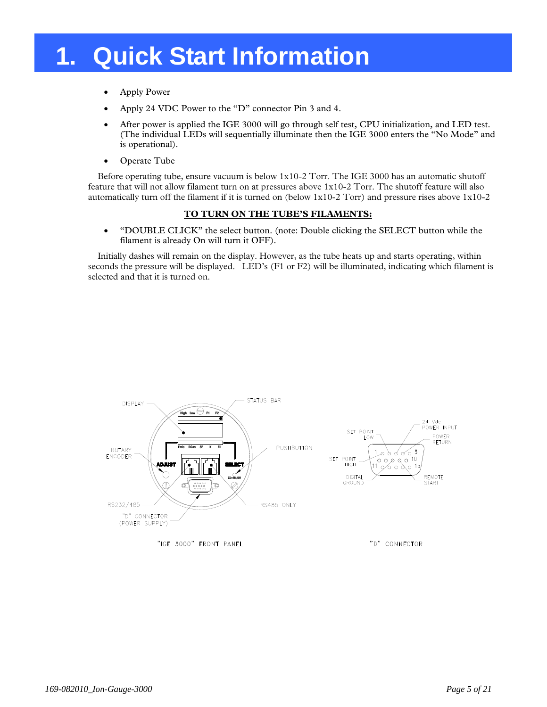### **1. Quick Start Information**

- Apply Power
- Apply 24 VDC Power to the "D" connector Pin 3 and 4.
- After power is applied the IGE 3000 will go through self test, CPU initialization, and LED test. (The individual LEDs will sequentially illuminate then the IGE 3000 enters the "No Mode" and is operational).
- Operate Tube

Before operating tube, ensure vacuum is below 1x10-2 Torr. The IGE 3000 has an automatic shutoff feature that will not allow filament turn on at pressures above 1x10-2 Torr. The shutoff feature will also automatically turn off the filament if it is turned on (below 1x10-2 Torr) and pressure rises above 1x10-2

#### **TO TURN ON THE TUBE'S FILAMENTS:**

• "DOUBLE CLICK" the select button. (note: Double clicking the SELECT button while the filament is already On will turn it OFF).

Initially dashes will remain on the display. However, as the tube heats up and starts operating, within seconds the pressure will be displayed. LED's (F1 or F2) will be illuminated, indicating which filament is selected and that it is turned on.

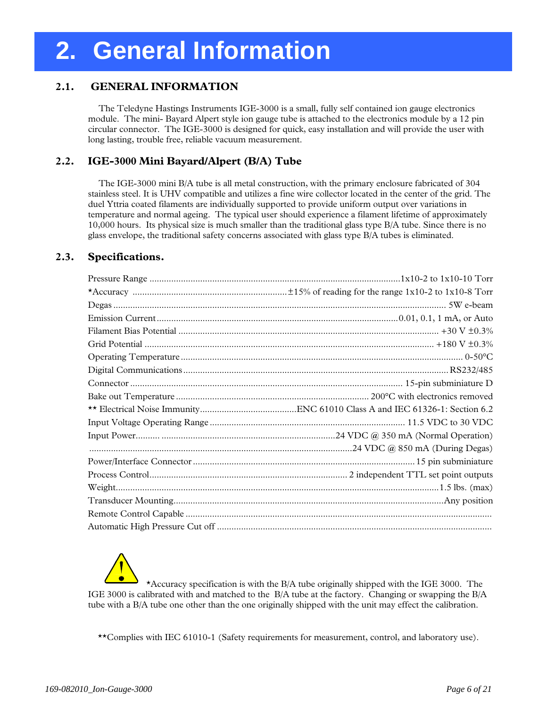#### **2.1. GENERAL INFORMATION**

 The Teledyne Hastings Instruments IGE-3000 is a small, fully self contained ion gauge electronics module. The mini- Bayard Alpert style ion gauge tube is attached to the electronics module by a 12 pin circular connector. The IGE-3000 is designed for quick, easy installation and will provide the user with long lasting, trouble free, reliable vacuum measurement.

#### **2.2. IGE-3000 Mini Bayard/Alpert (B/A) Tube**

 The IGE-3000 mini B/A tube is all metal construction, with the primary enclosure fabricated of 304 stainless steel. It is UHV compatible and utilizes a fine wire collector located in the center of the grid. The duel Yttria coated filaments are individually supported to provide uniform output over variations in temperature and normal ageing. The typical user should experience a filament lifetime of approximately 10,000 hours. Its physical size is much smaller than the traditional glass type B/A tube. Since there is no glass envelope, the traditional safety concerns associated with glass type B/A tubes is eliminated.

#### **2.3. Specifications.**

\*Accuracy specification is with the B/A tube originally shipped with the IGE 3000. The IGE 3000 is calibrated with and matched to the B/A tube at the factory. Changing or swapping the B/A tube with a B/A tube one other than the one originally shipped with the unit may effect the calibration.

\*\*Complies with IEC 61010-1 (Safety requirements for measurement, control, and laboratory use).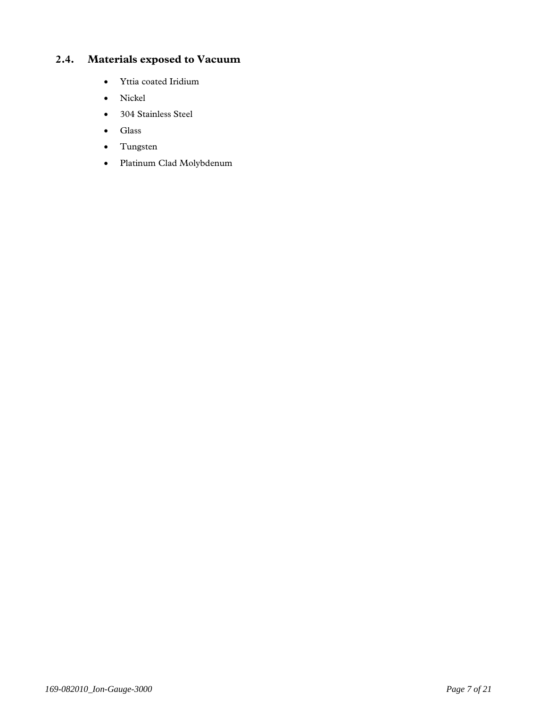#### **2.4. Materials exposed to Vacuum**

- Yttia coated Iridium
- Nickel
- 304 Stainless Steel
- Glass
- Tungsten
- Platinum Clad Molybdenum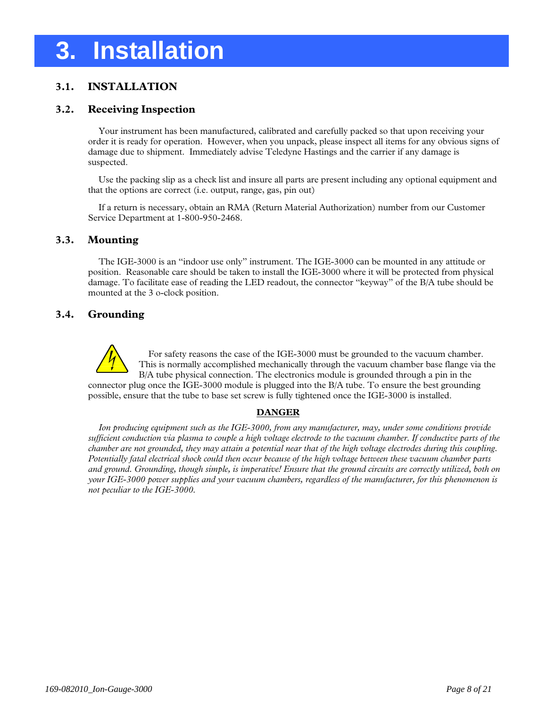### **3. Installation**

#### **3.1. INSTALLATION**

#### **3.2. Receiving Inspection**

 Your instrument has been manufactured, calibrated and carefully packed so that upon receiving your order it is ready for operation. However, when you unpack, please inspect all items for any obvious signs of damage due to shipment. Immediately advise Teledyne Hastings and the carrier if any damage is suspected.

 Use the packing slip as a check list and insure all parts are present including any optional equipment and that the options are correct (i.e. output, range, gas, pin out)

 If a return is necessary, obtain an RMA (Return Material Authorization) number from our Customer Service Department at 1-800-950-2468.

#### **3.3. Mounting**

 The IGE-3000 is an "indoor use only" instrument. The IGE-3000 can be mounted in any attitude or position. Reasonable care should be taken to install the IGE-3000 where it will be protected from physical damage. To facilitate ease of reading the LED readout, the connector "keyway" of the B/A tube should be mounted at the 3 o-clock position.

#### **3.4. Grounding**



For safety reasons the case of the IGE-3000 must be grounded to the vacuum chamber. This is normally accomplished mechanically through the vacuum chamber base flange via the B/A tube physical connection. The electronics module is grounded through a pin in the connector plug once the IGE-3000 module is plugged into the B/A tube. To ensure the best grounding possible, ensure that the tube to base set screw is fully tightened once the IGE-3000 is installed.

#### **DANGER**

 *Ion producing equipment such as the IGE-3000, from any manufacturer, may, under some conditions provide sufficient conduction via plasma to couple a high voltage electrode to the vacuum chamber. If conductive parts of the chamber are not grounded, they may attain a potential near that of the high voltage electrodes during this coupling. Potentially fatal electrical shock could then occur because of the high voltage between these vacuum chamber parts and ground. Grounding, though simple, is imperative! Ensure that the ground circuits are correctly utilized, both on your IGE-3000 power supplies and your vacuum chambers, regardless of the manufacturer, for this phenomenon is not peculiar to the IGE-3000.*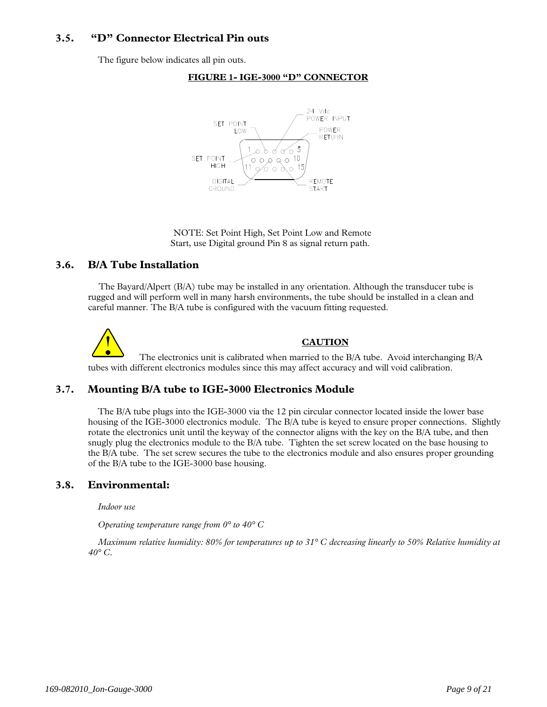#### **3.5. "D" Connector Electrical Pin outs**

The figure below indicates all pin outs.



**FIGURE 1- IGE-3000 "D" CONNECTOR** 

 NOTE: Set Point High, Set Point Low and Remote Start, use Digital ground Pin 8 as signal return path.

#### **3.6. B/A Tube Installation**

 The Bayard/Alpert (B/A) tube may be installed in any orientation. Although the transducer tube is rugged and will perform well in many harsh environments, the tube should be installed in a clean and careful manner. The B/A tube is configured with the vacuum fitting requested.

**CAUTION** The electronics unit is calibrated when married to the B/A tube. Avoid interchanging B/A tubes with different electronics modules since this may affect accuracy and will void calibration.

#### **3.7. Mounting B/A tube to IGE-3000 Electronics Module**

The B/A tube plugs into the IGE-3000 via the 12 pin circular connector located inside the lower base housing of the IGE-3000 electronics module. The B/A tube is keyed to ensure proper connections. Slightly rotate the electronics unit until the keyway of the connector aligns with the key on the B/A tube, and then snugly plug the electronics module to the B/A tube. Tighten the set screw located on the base housing to the B/A tube. The set screw secures the tube to the electronics module and also ensures proper grounding of the B/A tube to the IGE-3000 base housing.

#### **3.8. Environmental:**

*Indoor use* 

*Operating temperature range from 0° to 40° C* 

*Maximum relative humidity: 80% for temperatures up to 31° C decreasing linearly to 50% Relative humidity at 40° C.*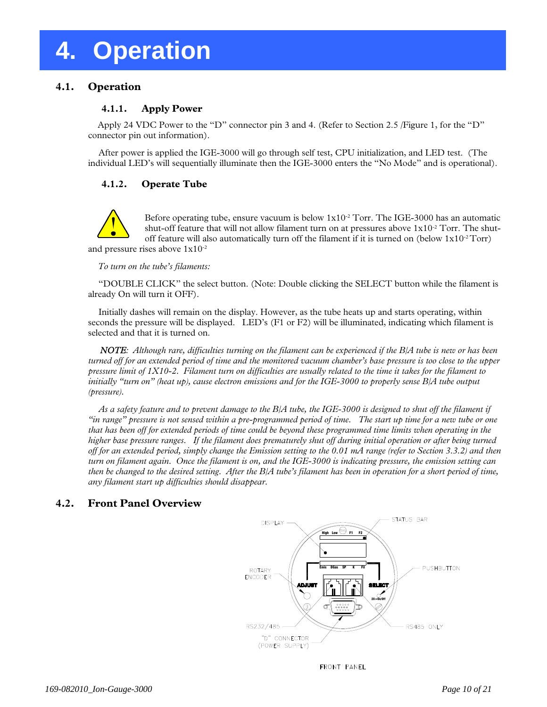### **4. Operation**

#### **4.1. Operation**

#### **4.1.1. Apply Power**

Apply 24 VDC Power to the "D" connector pin 3 and 4. (Refer to Section 2.5 /Figure 1, for the "D" connector pin out information).

 After power is applied the IGE-3000 will go through self test, CPU initialization, and LED test. (The individual LED's will sequentially illuminate then the IGE-3000 enters the "No Mode" and is operational).

#### **4.1.2. Operate Tube**



Before operating tube, ensure vacuum is below  $1x10^{-2}$  Torr. The IGE-3000 has an automatic shut-off feature that will not allow filament turn on at pressures above  $1x10^{-2}$  Torr. The shutoff feature will also automatically turn off the filament if it is turned on (below  $1x10^{-2}$  Torr) and pressure rises above 1x10-2

*To turn on the tube's filaments:* 

 "DOUBLE CLICK" the select button. (Note: Double clicking the SELECT button while the filament is already On will turn it OFF).

 Initially dashes will remain on the display. However, as the tube heats up and starts operating, within seconds the pressure will be displayed. LED's (F1 or F2) will be illuminated, indicating which filament is selected and that it is turned on.

*NOTE: Although rare, difficulties turning on the filament can be experienced if the B/A tube is new or has been turned off for an extended period of time and the monitored vacuum chamber's base pressure is too close to the upper pressure limit of 1X10-2. Filament turn on difficulties are usually related to the time it takes for the filament to initially "turn on" (heat up), cause electron emissions and for the IGE-3000 to properly sense B/A tube output (pressure).* 

 *As a safety feature and to prevent damage to the B/A tube, the IGE-3000 is designed to shut off the filament if "in range" pressure is not sensed within a pre-programmed period of time. The start up time for a new tube or one that has been off for extended periods of time could be beyond these programmed time limits when operating in the higher base pressure ranges. If the filament does prematurely shut off during initial operation or after being turned off for an extended period, simply change the Emission setting to the 0.01 mA range (refer to Section 3.3.2) and then turn on filament again. Once the filament is on, and the IGE-3000 is indicating pressure, the emission setting can then be changed to the desired setting. After the B/A tube's filament has been in operation for a short period of time, any filament start up difficulties should disappear.* 

#### **4.2. Front Panel Overview**



FRONT PANEL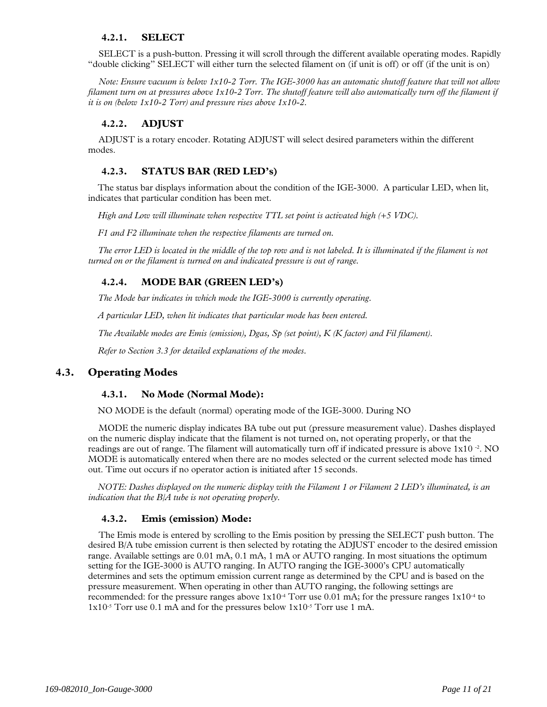#### **4.2.1. SELECT**

 SELECT is a push-button. Pressing it will scroll through the different available operating modes. Rapidly "double clicking" SELECT will either turn the selected filament on (if unit is off) or off (if the unit is on)

 *Note: Ensure vacuum is below 1x10-2 Torr. The IGE-3000 has an automatic shutoff feature that will not allow filament turn on at pressures above 1x10-2 Torr. The shutoff feature will also automatically turn off the filament if it is on (below 1x10-2 Torr) and pressure rises above 1x10-2.* 

#### **4.2.2. ADJUST**

 ADJUST is a rotary encoder. Rotating ADJUST will select desired parameters within the different modes.

#### **4.2.3. STATUS BAR (RED LED's)**

The status bar displays information about the condition of the IGE-3000. A particular LED, when lit, indicates that particular condition has been met.

*High and Low will illuminate when respective TTL set point is activated high (+5 VDC).* 

*F1 and F2 illuminate when the respective filaments are turned on.* 

The error LED is located in the middle of the top row and is not labeled. It is illuminated if the filament is not *turned on or the filament is turned on and indicated pressure is out of range.* 

#### **4.2.4. MODE BAR (GREEN LED's)**

*The Mode bar indicates in which mode the IGE-3000 is currently operating.* 

*A particular LED, when lit indicates that particular mode has been entered.* 

*The Available modes are Emis (emission), Dgas, Sp (set point), K (K factor) and Fil filament).* 

*Refer to Section 3.3 for detailed explanations of the modes.* 

#### **4.3. Operating Modes**

#### **4.3.1. No Mode (Normal Mode):**

NO MODE is the default (normal) operating mode of the IGE-3000. During NO

 MODE the numeric display indicates BA tube out put (pressure measurement value). Dashes displayed on the numeric display indicate that the filament is not turned on, not operating properly, or that the readings are out of range. The filament will automatically turn off if indicated pressure is above 1x10 -2. NO MODE is automatically entered when there are no modes selected or the current selected mode has timed out. Time out occurs if no operator action is initiated after 15 seconds.

*NOTE: Dashes displayed on the numeric display with the Filament 1 or Filament 2 LED's illuminated, is an indication that the B/A tube is not operating properly.* 

#### **4.3.2. Emis (emission) Mode:**

 The Emis mode is entered by scrolling to the Emis position by pressing the SELECT push button. The desired B/A tube emission current is then selected by rotating the ADJUST encoder to the desired emission range. Available settings are 0.01 mA, 0.1 mA, 1 mA or AUTO ranging. In most situations the optimum setting for the IGE-3000 is AUTO ranging. In AUTO ranging the IGE-3000's CPU automatically determines and sets the optimum emission current range as determined by the CPU and is based on the pressure measurement. When operating in other than AUTO ranging, the following settings are recommended: for the pressure ranges above 1x10-4 Torr use 0.01 mA; for the pressure ranges 1x10-4 to 1x10-5 Torr use 0.1 mA and for the pressures below 1x10-5 Torr use 1 mA.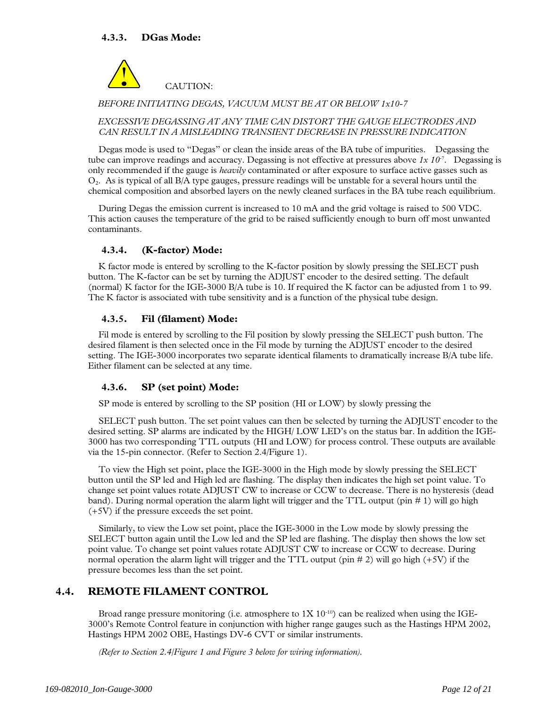

*BEFORE INITIATING DEGAS, VACUUM MUST BE AT OR BELOW 1x10-7* 

#### *EXCESSIVE DEGASSING AT ANY TIME CAN DISTORT THE GAUGE ELECTRODES AND CAN RESULT IN A MISLEADING TRANSIENT DECREASE IN PRESSURE INDICATION*

 Degas mode is used to "Degas" or clean the inside areas of the BA tube of impurities. Degassing the tube can improve readings and accuracy. Degassing is not effective at pressures above *1x 10*-7*.* Degassing is only recommended if the gauge is *heavily* contaminated or after exposure to surface active gasses such as  $O<sub>2</sub>$ . As is typical of all B/A type gauges, pressure readings will be unstable for a several hours until the chemical composition and absorbed layers on the newly cleaned surfaces in the BA tube reach equilibrium.

 During Degas the emission current is increased to 10 mA and the grid voltage is raised to 500 VDC. This action causes the temperature of the grid to be raised sufficiently enough to burn off most unwanted contaminants.

#### **4.3.4. (K-factor) Mode:**

 K factor mode is entered by scrolling to the K-factor position by slowly pressing the SELECT push button. The K-factor can be set by turning the ADJUST encoder to the desired setting. The default (normal) K factor for the IGE-3000 B/A tube is 10. If required the K factor can be adjusted from 1 to 99. The K factor is associated with tube sensitivity and is a function of the physical tube design.

#### **4.3.5. Fil (filament) Mode:**

 Fil mode is entered by scrolling to the Fil position by slowly pressing the SELECT push button. The desired filament is then selected once in the Fil mode by turning the ADJUST encoder to the desired setting. The IGE-3000 incorporates two separate identical filaments to dramatically increase B/A tube life. Either filament can be selected at any time.

#### **4.3.6. SP (set point) Mode:**

SP mode is entered by scrolling to the SP position (HI or LOW) by slowly pressing the

 SELECT push button. The set point values can then be selected by turning the ADJUST encoder to the desired setting. SP alarms are indicated by the HIGH/ LOW LED's on the status bar. In addition the IGE-3000 has two corresponding TTL outputs (HI and LOW) for process control. These outputs are available via the 15-pin connector. (Refer to Section 2.4/Figure 1).

 To view the High set point, place the IGE-3000 in the High mode by slowly pressing the SELECT button until the SP led and High led are flashing. The display then indicates the high set point value. To change set point values rotate ADJUST CW to increase or CCW to decrease. There is no hysteresis (dead band). During normal operation the alarm light will trigger and the TTL output (pin # 1) will go high (+5V) if the pressure exceeds the set point.

 Similarly, to view the Low set point, place the IGE-3000 in the Low mode by slowly pressing the SELECT button again until the Low led and the SP led are flashing. The display then shows the low set point value. To change set point values rotate ADJUST CW to increase or CCW to decrease. During normal operation the alarm light will trigger and the TTL output (pin  $\# 2$ ) will go high (+5V) if the pressure becomes less than the set point.

#### **4.4. REMOTE FILAMENT CONTROL**

Broad range pressure monitoring (i.e. atmosphere to  $1X 10^{-10}$ ) can be realized when using the IGE-3000's Remote Control feature in conjunction with higher range gauges such as the Hastings HPM 2002, Hastings HPM 2002 OBE, Hastings DV-6 CVT or similar instruments.

 *(Refer to Section 2.4/Figure 1 and Figure 3 below for wiring information).*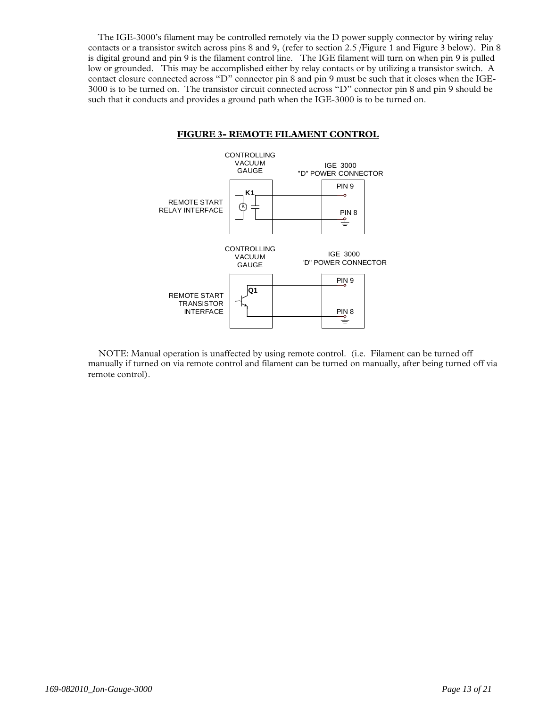The IGE-3000's filament may be controlled remotely via the D power supply connector by wiring relay contacts or a transistor switch across pins 8 and 9, (refer to section 2.5 /Figure 1 and Figure 3 below). Pin 8 is digital ground and pin 9 is the filament control line. The IGE filament will turn on when pin 9 is pulled low or grounded. This may be accomplished either by relay contacts or by utilizing a transistor switch. A contact closure connected across "D" connector pin 8 and pin 9 must be such that it closes when the IGE-3000 is to be turned on. The transistor circuit connected across "D" connector pin 8 and pin 9 should be such that it conducts and provides a ground path when the IGE-3000 is to be turned on.



#### **FIGURE 3- REMOTE FILAMENT CONTROL**

 NOTE: Manual operation is unaffected by using remote control. (i.e. Filament can be turned off manually if turned on via remote control and filament can be turned on manually, after being turned off via remote control).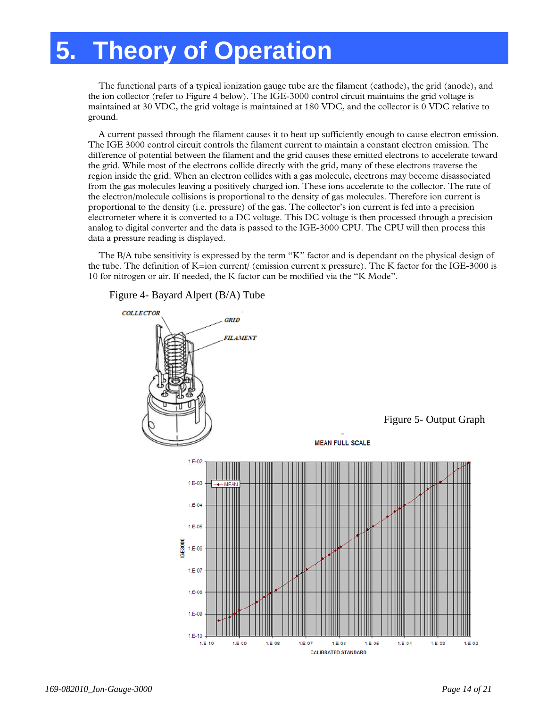### **5. Theory of Operation**

 The functional parts of a typical ionization gauge tube are the filament (cathode), the grid (anode), and the ion collector (refer to Figure 4 below). The IGE-3000 control circuit maintains the grid voltage is maintained at 30 VDC, the grid voltage is maintained at 180 VDC, and the collector is 0 VDC relative to ground.

 A current passed through the filament causes it to heat up sufficiently enough to cause electron emission. The IGE 3000 control circuit controls the filament current to maintain a constant electron emission. The difference of potential between the filament and the grid causes these emitted electrons to accelerate toward the grid. While most of the electrons collide directly with the grid, many of these electrons traverse the region inside the grid. When an electron collides with a gas molecule, electrons may become disassociated from the gas molecules leaving a positively charged ion. These ions accelerate to the collector. The rate of the electron/molecule collisions is proportional to the density of gas molecules. Therefore ion current is proportional to the density (i.e. pressure) of the gas. The collector's ion current is fed into a precision electrometer where it is converted to a DC voltage. This DC voltage is then processed through a precision analog to digital converter and the data is passed to the IGE-3000 CPU. The CPU will then process this data a pressure reading is displayed.

 The B/A tube sensitivity is expressed by the term "K" factor and is dependant on the physical design of the tube. The definition of K=ion current/ (emission current x pressure). The K factor for the IGE-3000 is 10 for nitrogen or air. If needed, the K factor can be modified via the "K Mode".

Figure 4- Bayard Alpert (B/A) Tube

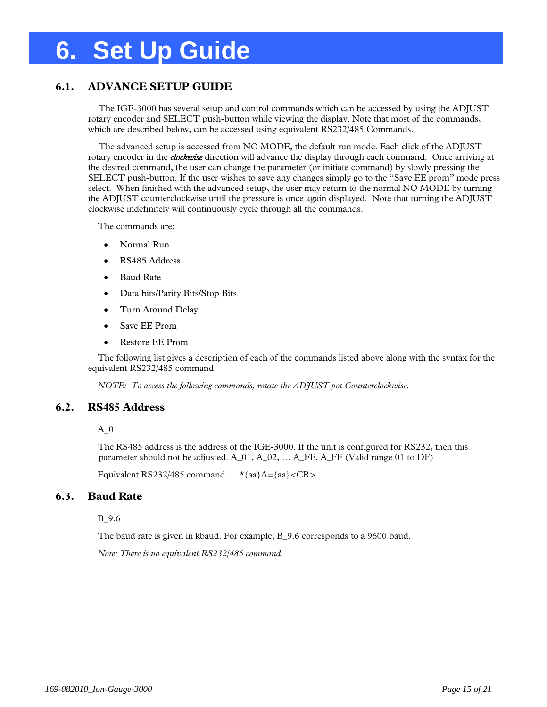### **6. Set Up Guide**

#### **6.1. ADVANCE SETUP GUIDE**

 The IGE-3000 has several setup and control commands which can be accessed by using the ADJUST rotary encoder and SELECT push-button while viewing the display. Note that most of the commands, which are described below, can be accessed using equivalent RS232/485 Commands.

 The advanced setup is accessed from NO MODE, the default run mode. Each click of the ADJUST rotary encoder in the *clockwise* direction will advance the display through each command. Once arriving at the desired command, the user can change the parameter (or initiate command) by slowly pressing the SELECT push-button. If the user wishes to save any changes simply go to the "Save EE prom" mode press select. When finished with the advanced setup, the user may return to the normal NO MODE by turning the ADJUST counterclockwise until the pressure is once again displayed. Note that turning the ADJUST clockwise indefinitely will continuously cycle through all the commands.

The commands are:

- Normal Run
- RS485 Address
- Baud Rate
- Data bits/Parity Bits/Stop Bits
- Turn Around Delay
- Save EE Prom
- Restore EE Prom

The following list gives a description of each of the commands listed above along with the syntax for the equivalent RS232/485 command.

*NOTE: To access the following commands, rotate the ADJUST pot Counterclockwise.* 

#### **6.2. RS485 Address**

A\_01

The RS485 address is the address of the IGE-3000. If the unit is configured for RS232, then this parameter should not be adjusted.  $A_01$ ,  $A_02$ , ...  $A$ <sub>FE</sub>,  $A$ <sub>FF</sub> (Valid range 01 to DF)

Equivalent RS232/485 command.  $\star$ {aa}A={aa}<CR>

#### **6.3. Baud Rate**

B\_9.6

The baud rate is given in kbaud. For example, B 9.6 corresponds to a 9600 baud.

*Note: There is no equivalent RS232/485 command.*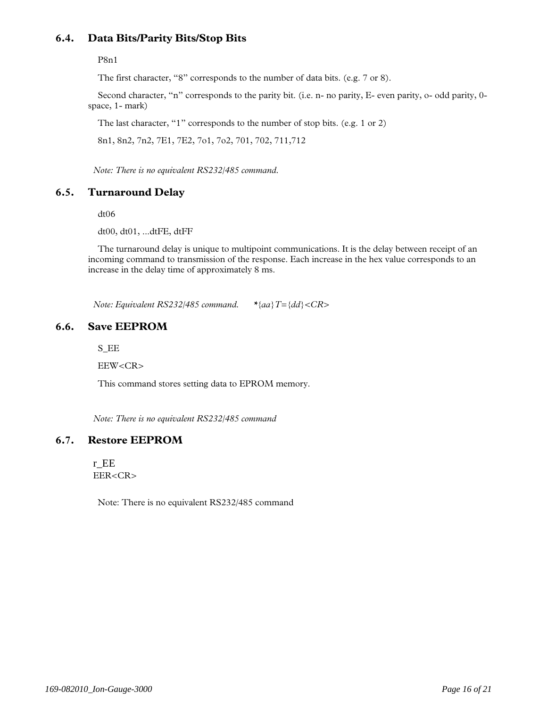#### **6.4. Data Bits/Parity Bits/Stop Bits**

P8n1

The first character, "8" corresponds to the number of data bits. (e.g. 7 or 8).

Second character, "n" corresponds to the parity bit. (i.e. n- no parity, E- even parity, o- odd parity, 0 space, 1- mark)

The last character, "1" corresponds to the number of stop bits. (e.g. 1 or 2)

8n1, 8n2, 7n2, 7E1, 7E2, 7o1, 7o2, 701, 702, 711,712

*Note: There is no equivalent RS232/485 command.* 

#### **6.5. Turnaround Delay**

dt06

dt00, dt01, ...dtFE, dtFF

The turnaround delay is unique to multipoint communications. It is the delay between receipt of an incoming command to transmission of the response. Each increase in the hex value corresponds to an increase in the delay time of approximately 8 ms.

*Note: Equivalent RS232/485 command. \*{aa}T={dd}<CR>* 

#### **6.6. Save EEPROM**

S\_EE

EEW<CR>

This command stores setting data to EPROM memory.

*Note: There is no equivalent RS232/485 command* 

#### **6.7. Restore EEPROM**

r\_EE EER<CR>

Note: There is no equivalent RS232/485 command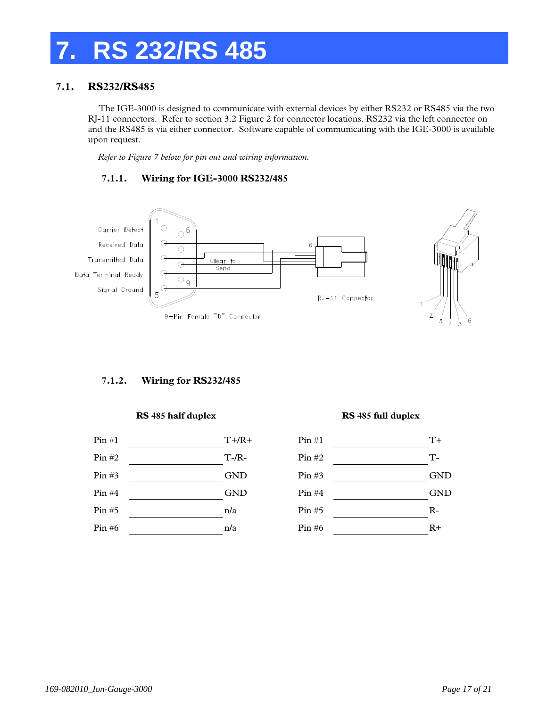### **7. RS 232/RS 485**

#### **7.1. RS232/RS485**

 The IGE-3000 is designed to communicate with external devices by either RS232 or RS485 via the two RJ-11 connectors. Refer to section 3.2 Figure 2 for connector locations. RS232 via the left connector on and the RS485 is via either connector. Software capable of communicating with the IGE-3000 is available upon request.

*Refer to Figure 7 below for pin out and wiring information.* 

#### **7.1.1. Wiring for IGE-3000 RS232/485**



#### **7.1.2. Wiring for RS232/485**

#### **RS 485 half duplex RS 485 full duplex**



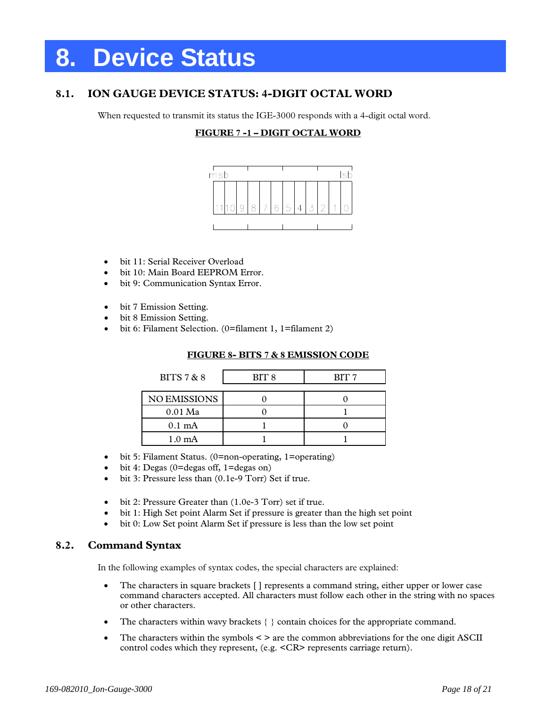### **8. Device Status**

#### **8.1. ION GAUGE DEVICE STATUS: 4-DIGIT OCTAL WORD**

When requested to transmit its status the IGE-3000 responds with a 4-digit octal word.

#### **FIGURE 7 -1 – DIGIT OCTAL WORD**



- bit 11: Serial Receiver Overload
- bit 10: Main Board EEPROM Error.
- bit 9: Communication Syntax Error.
- bit 7 Emission Setting.
- bit 8 Emission Setting.
- bit 6: Filament Selection. (0=filament 1, 1=filament 2)

#### **FIGURE 8- BITS 7 & 8 EMISSION CODE**

| BITS $7 & 8$        | BIT8 | BIT <sub>7</sub> |
|---------------------|------|------------------|
|                     |      |                  |
| <b>NO EMISSIONS</b> |      |                  |
| $0.01$ Ma           |      |                  |
| $0.1 \text{ mA}$    |      |                  |
| $1.0 \text{ mA}$    |      |                  |

- bit 5: Filament Status. (0=non-operating, 1=operating)
- bit 4: Degas (0=degas off, 1=degas on)
- bit 3: Pressure less than (0.1e-9 Torr) Set if true.
- bit 2: Pressure Greater than (1.0e-3 Torr) set if true.
- bit 1: High Set point Alarm Set if pressure is greater than the high set point
- bit 0: Low Set point Alarm Set if pressure is less than the low set point

#### **8.2. Command Syntax**

In the following examples of syntax codes, the special characters are explained:

- The characters in square brackets [] represents a command string, either upper or lower case command characters accepted. All characters must follow each other in the string with no spaces or other characters.
- The characters within wavy brackets  $\{ \}$  contain choices for the appropriate command.
- The characters within the symbols  $\leq$  are the common abbreviations for the one digit ASCII control codes which they represent, (e.g. <CR> represents carriage return).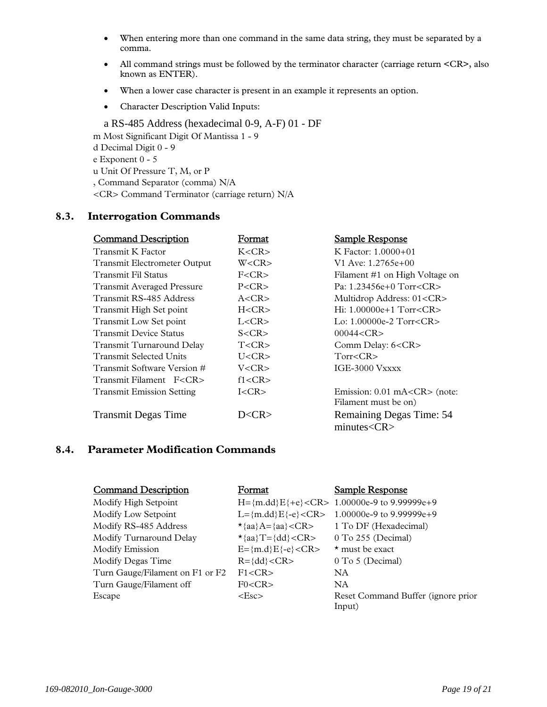- When entering more than one command in the same data string, they must be separated by a comma.
- All command strings must be followed by the terminator character (carriage return <CR>, also known as ENTER).
- When a lower case character is present in an example it represents an option.
- Character Description Valid Inputs:

a RS-485 Address (hexadecimal 0-9, A-F) 01 - DF m Most Significant Digit Of Mantissa 1 - 9 d Decimal Digit 0 - 9 e Exponent 0 - 5 u Unit Of Pressure T, M, or P , Command Separator (comma) N/A <CR> Command Terminator (carriage return) N/A

#### **8.3. Interrogation Commands**

| <b>Command Description</b>        | Format      | <b>Sample Response</b>               |
|-----------------------------------|-------------|--------------------------------------|
| Transmit K Factor                 | K < CR      | K Factor: $1.0000+01$                |
| Transmit Electrometer Output      | W < CR      | V1 Ave: 1.2765e+00                   |
| Transmit Fil Status               | F < CR      | Filament #1 on High Voltage on       |
| <b>Transmit Averaged Pressure</b> | P < CR      | Pa: $1.23456e+0$ Torr <cr></cr>      |
| Transmit RS-485 Address           | A < CR      | Multidrop Address: 01 <cr></cr>      |
| Transmit High Set point           | H < CR      | Hi: $1.00000e+1$ Torr <cr></cr>      |
| Transmit Low Set point            | L < CR      | Lo: $1.00000e-2$ Torr <cr></cr>      |
| <b>Transmit Device Status</b>     | S < CR      | 00044 < CR                           |
| Transmit Turnaround Delay         | T < CR      | Comm Delay: 6 <cr></cr>              |
| Transmit Selected Units           | $U < CR$ >  | $Torr <$ CR $>$                      |
| Transmit Software Version #       | V <cr></cr> | IGE-3000 Vxxxx                       |
| Transmit Filament F <cr></cr>     | f1 < CR     |                                      |
| <b>Transmit Emission Setting</b>  | $I < CR$ >  | Emission: $0.01$ mA <cr> (note:</cr> |
|                                   |             | Filament must be on)                 |
| <b>Transmit Degas Time</b>        | D <cr></cr> | Remaining Degas Time: 54             |
|                                   |             | $minutes <$ CR $>$                   |

#### **8.4. Parameter Modification Commands**

| <b>Command Description</b>      | Format                       | Sample Response                                  |
|---------------------------------|------------------------------|--------------------------------------------------|
| Modify High Setpoint            |                              | H={m.dd}E{+e} <cr> 1.00000e-9 to 9.99999e+9</cr> |
| Modify Low Setpoint             | $L = \{m.dd\}E\{-e\} < CR$   | 1.00000e-9 to 9.99999e+9                         |
| Modify RS-485 Address           | $\star$ {aa}A={aa} <cr></cr> | 1 To DF (Hexadecimal)                            |
| Modify Turnaround Delay         | $\star$ {aa}T={dd} <cr></cr> | 0 To 255 (Decimal)                               |
| Modify Emission                 | $E = \{m.d\}E\{-e\} < CR$    | $\star$ must be exact                            |
| Modify Degas Time               | $R = \{dd\} < CR$            | 0 To 5 (Decimal)                                 |
| Turn Gauge/Filament on F1 or F2 | F1 < CR                      | NA.                                              |
| Turn Gauge/Filament off         | F0 < CR                      | NA.                                              |
| Escape                          | $\langle$ Esc $\rangle$      | Reset Command Buffer (ignore prior<br>Input)     |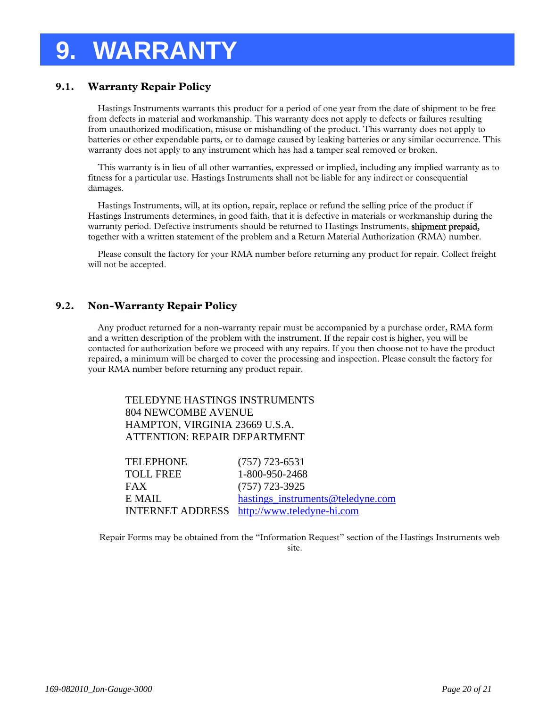### **9. WARRANTY**

#### **9.1. Warranty Repair Policy**

Hastings Instruments warrants this product for a period of one year from the date of shipment to be free from defects in material and workmanship. This warranty does not apply to defects or failures resulting from unauthorized modification, misuse or mishandling of the product. This warranty does not apply to batteries or other expendable parts, or to damage caused by leaking batteries or any similar occurrence. This warranty does not apply to any instrument which has had a tamper seal removed or broken.

This warranty is in lieu of all other warranties, expressed or implied, including any implied warranty as to fitness for a particular use. Hastings Instruments shall not be liable for any indirect or consequential damages.

Hastings Instruments, will, at its option, repair, replace or refund the selling price of the product if Hastings Instruments determines, in good faith, that it is defective in materials or workmanship during the warranty period. Defective instruments should be returned to Hastings Instruments, shipment prepaid, together with a written statement of the problem and a Return Material Authorization (RMA) number.

Please consult the factory for your RMA number before returning any product for repair. Collect freight will not be accepted.

#### **9.2. Non-Warranty Repair Policy**

Any product returned for a non-warranty repair must be accompanied by a purchase order, RMA form and a written description of the problem with the instrument. If the repair cost is higher, you will be contacted for authorization before we proceed with any repairs. If you then choose not to have the product repaired, a minimum will be charged to cover the processing and inspection. Please consult the factory for your RMA number before returning any product repair.

TELEDYNE HASTINGS INSTRUMENTS 804 NEWCOMBE AVENUE HAMPTON, VIRGINIA 23669 U.S.A. ATTENTION: REPAIR DEPARTMENT

| <b>TELEPHONE</b> | $(757)$ 723-6531                            |
|------------------|---------------------------------------------|
| <b>TOLL FREE</b> | 1-800-950-2468                              |
| FAX              | $(757)$ 723-3925                            |
| E MAIL           | hastings_instruments@teledyne.com           |
|                  | INTERNET ADDRESS http://www.teledyne-hi.com |

Repair Forms may be obtained from the "Information Request" section of the Hastings Instruments web site.